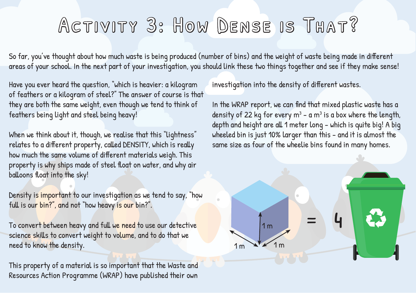## Activity 3: How Dense is That?

So far, you've thought about how much waste is being produced (number of bins) and the weight of waste being made in different areas of your school. In the next part of your investigation, you should link these two things together and see if they make sense!

Have you ever heard the question, "which is heavier: a kilogram of feathers or a kilogram of steel?" The answer of course is that they are both the same weight, even though we tend to think of feathers being light and steel being heavy!

When we think about it, though, we realise that this "lightness" relates to a different property, called DENSITY, which is really how much the same volume of different materials weigh. This property is why ships made of steel float on water, and why air balloons float into the sky!

Density is important to our investigation as we tend to say, "how full is our bin?", and not "how heavy is our bin?".

To convert between heavy and full we need to use our detective science skills to convert weight to volume, and to do that we need to know the density.

This property of a material is so important that the Waste and Resources Action Programme (WRAP) have published their own

investigation into the density of different wastes.

In the WRAP report, we can find that mixed plastic waste has a density of 22 kg for every m<sup>3</sup> - a m<sup>3</sup> is a box where the length, depth and height are all 1 meter long - which is quite big! A big wheeled bin is just 10% larger than this - and it is almost the same size as four of the wheelie bins found in many homes.